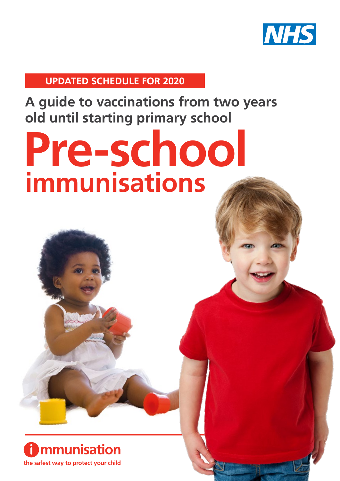

**UPDATED SCHEDULE FOR 2020**

**A guide to vaccinations from two years old until starting primary school**

# **Pre-school immunisations**

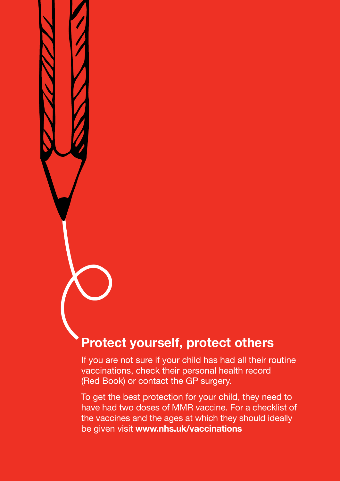### **Protect yourself, protect others**

If you are not sure if your child has had all their routine vaccinations, check their personal health record (Red Book) or contact the GP surgery.

To get the best protection for your child, they need to have had two doses of MMR vaccine. For a checklist of the vaccines and the ages at which they should ideally be given visit **www.nhs.uk/vaccinations**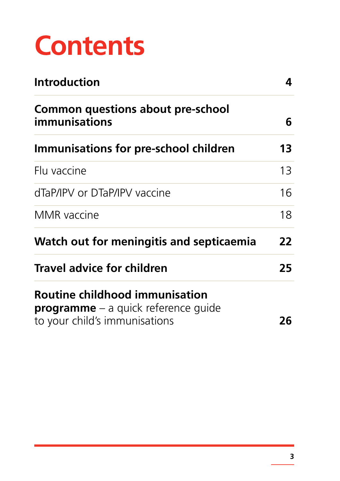# **Contents**

| <b>Introduction</b>                                                                                           |    |
|---------------------------------------------------------------------------------------------------------------|----|
| <b>Common questions about pre-school</b><br>immunisations                                                     | 6  |
| Immunisations for pre-school children                                                                         | 13 |
| Flu vaccine                                                                                                   | 13 |
| dTaP/IPV or DTaP/IPV vaccine                                                                                  | 16 |
| <b>MMR</b> vaccine                                                                                            | 18 |
| Watch out for meningitis and septicaemia                                                                      | 22 |
| <b>Travel advice for children</b>                                                                             | 25 |
| Routine childhood immunisation<br><b>programme</b> – a quick reference quide<br>to your child's immunisations | 26 |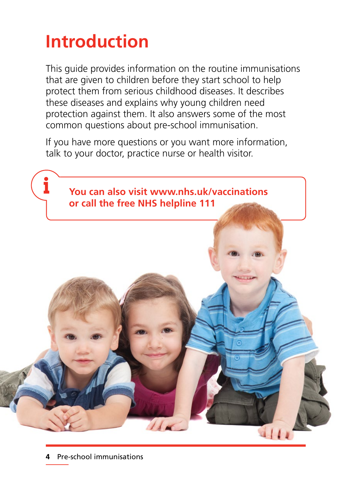# **Introduction**

This guide provides information on the routine immunisations that are given to children before they start school to help protect them from serious childhood diseases. It describes these diseases and explains why young children need protection against them. It also answers some of the most common questions about pre-school immunisation.

If you have more questions or you want more information, talk to your doctor, practice nurse or health visitor.

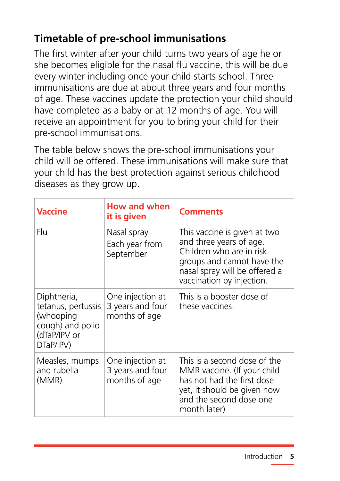### **Timetable of pre-school immunisations**

The first winter after your child turns two years of age he or she becomes eligible for the nasal flu vaccine, this will be due every winter including once your child starts school. Three immunisations are due at about three years and four months of age. These vaccines update the protection your child should have completed as a baby or at 12 months of age. You will receive an appointment for you to bring your child for their pre-school immunisations.

The table below shows the pre-school immunisations your child will be offered. These immunisations will make sure that your child has the best protection against serious childhood diseases as they grow up.

| <b>Vaccine</b>                                                                                  | <b>How and when</b><br>it is given                    | <b>Comments</b>                                                                                                                                                                 |
|-------------------------------------------------------------------------------------------------|-------------------------------------------------------|---------------------------------------------------------------------------------------------------------------------------------------------------------------------------------|
| Flu                                                                                             | Nasal spray<br>Each year from<br>September            | This vaccine is given at two<br>and three years of age.<br>Children who are in risk<br>groups and cannot have the<br>nasal spray will be offered a<br>vaccination by injection. |
| Diphtheria,<br>tetanus, pertussis<br>(whooping<br>cough) and polio<br>(dTaP/IPV or<br>DTaP/IPV) | One injection at<br>3 years and four<br>months of age | This is a booster dose of<br>these vaccines.                                                                                                                                    |
| Measles, mumps<br>and rubella<br>(MMR)                                                          | One injection at<br>3 years and four<br>months of age | This is a second dose of the<br>MMR vaccine. (If your child<br>has not had the first dose<br>yet, it should be given now<br>and the second dose one<br>month later)             |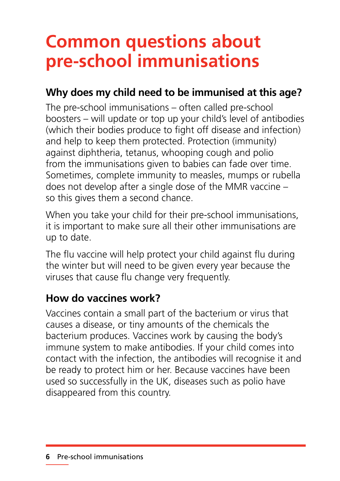# **Common questions about pre-school immunisations**

### **Why does my child need to be immunised at this age?**

The pre-school immunisations – often called pre-school boosters – will update or top up your child's level of antibodies (which their bodies produce to fight off disease and infection) and help to keep them protected. Protection (immunity) against diphtheria, tetanus, whooping cough and polio from the immunisations given to babies can fade over time. Sometimes, complete immunity to measles, mumps or rubella does not develop after a single dose of the MMR vaccine – so this gives them a second chance.

When you take your child for their pre-school immunisations, it is important to make sure all their other immunisations are up to date.

The flu vaccine will help protect your child against flu during the winter but will need to be given every year because the viruses that cause flu change very frequently.

### **How do vaccines work?**

Vaccines contain a small part of the bacterium or virus that causes a disease, or tiny amounts of the chemicals the bacterium produces. Vaccines work by causing the body's immune system to make antibodies. If your child comes into contact with the infection, the antibodies will recognise it and be ready to protect him or her. Because vaccines have been used so successfully in the UK, diseases such as polio have disappeared from this country.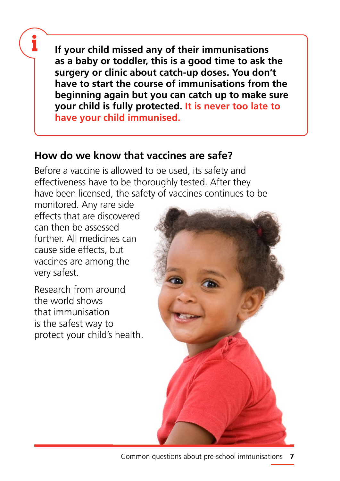**If your child missed any of their immunisations as a baby or toddler, this is a good time to ask the surgery or clinic about catch-up doses. You don't have to start the course of immunisations from the beginning again but you can catch up to make sure your child is fully protected. It is never too late to have your child immunised.**

### **How do we know that vaccines are safe?**

Before a vaccine is allowed to be used, its safety and effectiveness have to be thoroughly tested. After they have been licensed, the safety of vaccines continues to be

monitored. Any rare side effects that are discovered can then be assessed further. All medicines can cause side effects, but vaccines are among the very safest.

Research from around the world shows that immunisation is the safest way to protect your child's health.

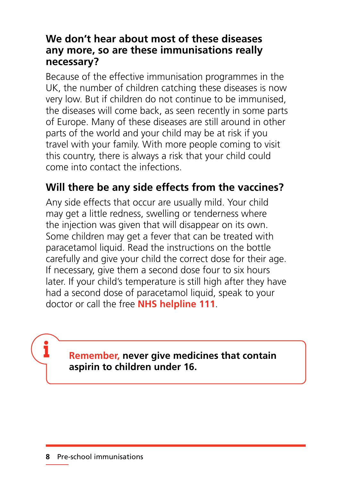### **We don't hear about most of these diseases any more, so are these immunisations really necessary?**

Because of the effective immunisation programmes in the UK, the number of children catching these diseases is now very low. But if children do not continue to be immunised, the diseases will come back, as seen recently in some parts of Europe. Many of these diseases are still around in other parts of the world and your child may be at risk if you travel with your family. With more people coming to visit this country, there is always a risk that your child could come into contact the infections.

### **Will there be any side effects from the vaccines?**

Any side effects that occur are usually mild. Your child may get a little redness, swelling or tenderness where the injection was given that will disappear on its own. Some children may get a fever that can be treated with paracetamol liquid. Read the instructions on the bottle carefully and give your child the correct dose for their age. If necessary, give them a second dose four to six hours later. If your child's temperature is still high after they have had a second dose of paracetamol liquid, speak to your doctor or call the free **NHS helpline 111**.

### **Remember, never give medicines that contain aspirin to children under 16.**

i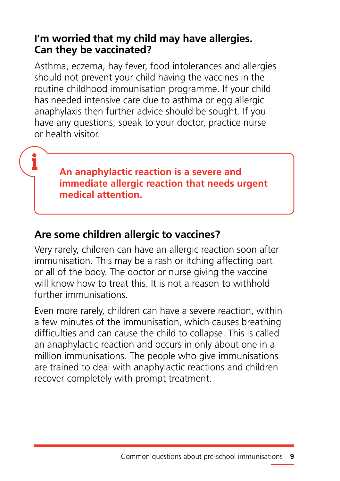### **I'm worried that my child may have allergies. Can they be vaccinated?**

Asthma, eczema, hay fever, food intolerances and allergies should not prevent your child having the vaccines in the routine childhood immunisation programme. If your child has needed intensive care due to asthma or egg allergic anaphylaxis then further advice should be sought. If you have any questions, speak to your doctor, practice nurse or health visitor.

> **An anaphylactic reaction is a severe and immediate allergic reaction that needs urgent medical attention.**

### **Are some children allergic to vaccines?**

Very rarely, children can have an allergic reaction soon after immunisation. This may be a rash or itching affecting part or all of the body. The doctor or nurse giving the vaccine will know how to treat this. It is not a reason to withhold further immunisations.

Even more rarely, children can have a severe reaction, within a few minutes of the immunisation, which causes breathing difficulties and can cause the child to collapse. This is called an anaphylactic reaction and occurs in only about one in a million immunisations. The people who give immunisations are trained to deal with anaphylactic reactions and children recover completely with prompt treatment.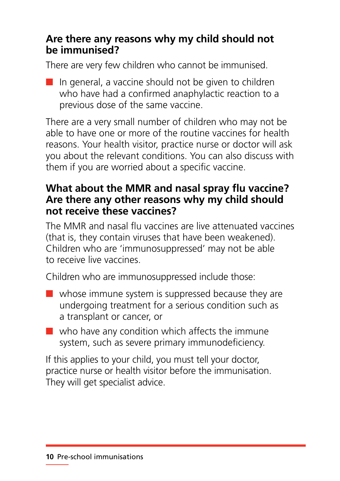### **Are there any reasons why my child should not be immunised?**

There are very few children who cannot be immunised.

 $\blacksquare$  In general, a vaccine should not be given to children who have had a confirmed anaphylactic reaction to a previous dose of the same vaccine.

There are a very small number of children who may not be able to have one or more of the routine vaccines for health reasons. Your health visitor, practice nurse or doctor will ask you about the relevant conditions. You can also discuss with them if you are worried about a specific vaccine.

### **What about the MMR and nasal spray flu vaccine? Are there any other reasons why my child should not receive these vaccines?**

The MMR and nasal flu vaccines are live attenuated vaccines (that is, they contain viruses that have been weakened). Children who are 'immunosuppressed' may not be able to receive live vaccines.

Children who are immunosuppressed include those:

- $\blacksquare$  whose immune system is suppressed because they are undergoing treatment for a serious condition such as a transplant or cancer, or
- $\blacksquare$  who have any condition which affects the immune system, such as severe primary immunodeficiency.

If this applies to your child, you must tell your doctor, practice nurse or health visitor before the immunisation. They will get specialist advice.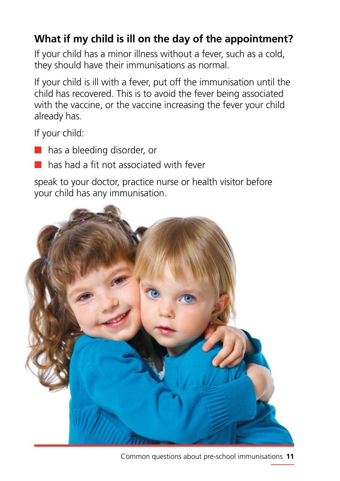### **What if my child is ill on the day of the appointment?**

If your child has a minor illness without a fever, such as a cold, they should have their immunisations as normal.

If your child is ill with a fever, put off the immunisation until the child has recovered. This is to avoid the fever being associated with the vaccine, or the vaccine increasing the fever your child already has.

If your child:

- has a bleeding disorder, or
- has had a fit not associated with fever

speak to your doctor, practice nurse or health visitor before your child has any immunisation.



**11** Common questions about pre-school immunisations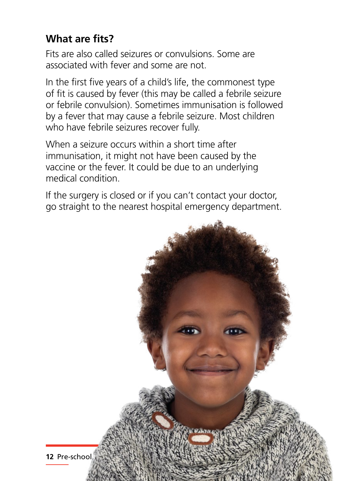### **What are fits?**

Fits are also called seizures or convulsions. Some are associated with fever and some are not.

In the first five years of a child's life, the commonest type of fit is caused by fever (this may be called a febrile seizure or febrile convulsion). Sometimes immunisation is followed by a fever that may cause a febrile seizure. Most children who have febrile seizures recover fully.

When a seizure occurs within a short time after immunisation, it might not have been caused by the vaccine or the fever. It could be due to an underlying medical condition.

If the surgery is closed or if you can't contact your doctor, go straight to the nearest hospital emergency department.

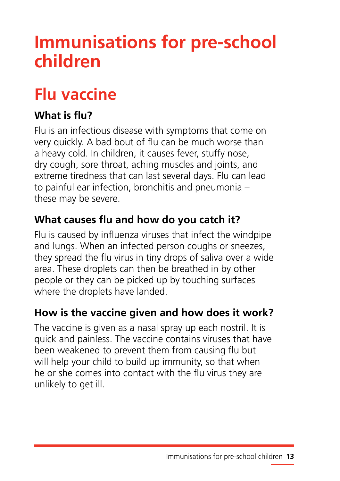# **Immunisations for pre-school children**

### **Flu vaccine**

### **What is flu?**

Flu is an infectious disease with symptoms that come on very quickly. A bad bout of flu can be much worse than a heavy cold. In children, it causes fever, stuffy nose, dry cough, sore throat, aching muscles and joints, and extreme tiredness that can last several days. Flu can lead to painful ear infection, bronchitis and pneumonia – these may be severe.

### **What causes flu and how do you catch it?**

Flu is caused by influenza viruses that infect the windpipe and lungs. When an infected person coughs or sneezes, they spread the flu virus in tiny drops of saliva over a wide area. These droplets can then be breathed in by other people or they can be picked up by touching surfaces where the droplets have landed.

### **How is the vaccine given and how does it work?**

The vaccine is given as a nasal spray up each nostril. It is quick and painless. The vaccine contains viruses that have been weakened to prevent them from causing flu but will help your child to build up immunity, so that when he or she comes into contact with the flu virus they are unlikely to get ill.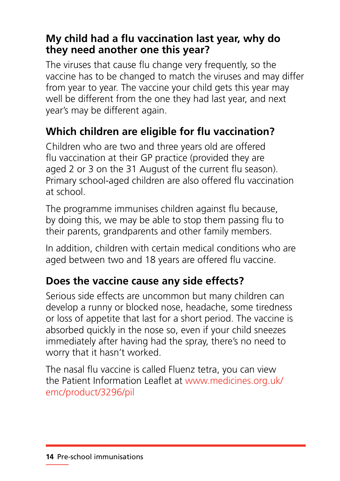### **My child had a flu vaccination last year, why do they need another one this year?**

The viruses that cause flu change very frequently, so the vaccine has to be changed to match the viruses and may differ from year to year. The vaccine your child gets this year may well be different from the one they had last year, and next year's may be different again.

### **Which children are eligible for flu vaccination?**

Children who are two and three years old are offered flu vaccination at their GP practice (provided they are aged 2 or 3 on the 31 August of the current flu season). Primary school-aged children are also offered flu vaccination at school.

The programme immunises children against flu because, by doing this, we may be able to stop them passing flu to their parents, grandparents and other family members.

In addition, children with certain medical conditions who are aged between two and 18 years are offered flu vaccine.

### **Does the vaccine cause any side effects?**

Serious side effects are uncommon but many children can develop a runny or blocked nose, headache, some tiredness or loss of appetite that last for a short period. The vaccine is absorbed quickly in the nose so, even if your child sneezes immediately after having had the spray, there's no need to worry that it hasn't worked.

The nasal flu vaccine is called Fluenz tetra, you can view the Patient Information Leaflet at [www.medicines.org.uk/](http://www.medicines.org.uk/emc/product/3296/pil) [emc/product/3296/pil](http://www.medicines.org.uk/emc/product/3296/pil)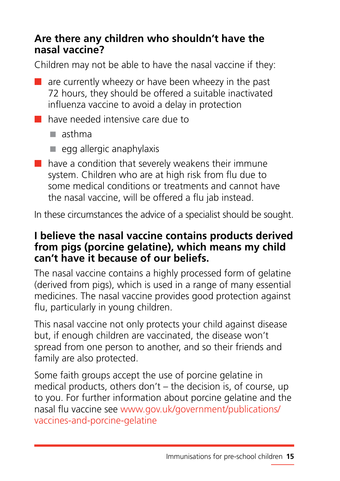### **Are there any children who shouldn't have the nasal vaccine?**

Children may not be able to have the nasal vaccine if they:

- $\blacksquare$  are currently wheezy or have been wheezy in the past 72 hours, they should be offered a suitable inactivated influenza vaccine to avoid a delay in protection
- have needed intensive care due to
	- $\blacksquare$  asthma
	- $\blacksquare$  egg allergic anaphylaxis
- $\blacksquare$  have a condition that severely weakens their immune system. Children who are at high risk from flu due to some medical conditions or treatments and cannot have the nasal vaccine, will be offered a flu jab instead.

In these circumstances the advice of a specialist should be sought.

### **I believe the nasal vaccine contains products derived from pigs (porcine gelatine), which means my child can't have it because of our beliefs.**

The nasal vaccine contains a highly processed form of gelatine (derived from pigs), which is used in a range of many essential medicines. The nasal vaccine provides good protection against flu, particularly in young children.

This nasal vaccine not only protects your child against disease but, if enough children are vaccinated, the disease won't spread from one person to another, and so their friends and family are also protected.

Some faith groups accept the use of porcine gelatine in medical products, others don't – the decision is, of course, up to you. For further information about porcine gelatine and the nasal flu vaccine see [www.gov.uk/government/publications/](www.gov.uk/government/publications/vaccines-and-porcine-gelatine) [vaccines-and-porcine-gelatine](www.gov.uk/government/publications/vaccines-and-porcine-gelatine)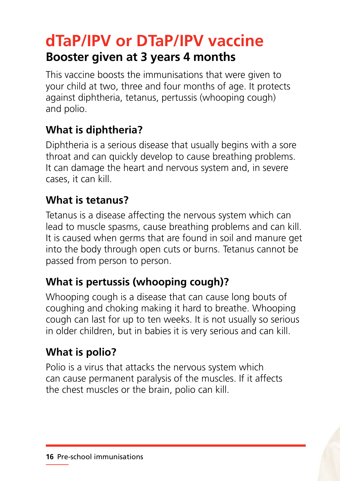### **dTaP/IPV or DTaP/IPV vaccine Booster given at 3 years 4 months**

This vaccine boosts the immunisations that were given to your child at two, three and four months of age. It protects against diphtheria, tetanus, pertussis (whooping cough) and polio.

### **What is diphtheria?**

Diphtheria is a serious disease that usually begins with a sore throat and can quickly develop to cause breathing problems. It can damage the heart and nervous system and, in severe cases, it can kill.

### **What is tetanus?**

Tetanus is a disease affecting the nervous system which can lead to muscle spasms, cause breathing problems and can kill. It is caused when germs that are found in soil and manure get into the body through open cuts or burns. Tetanus cannot be passed from person to person.

### **What is pertussis (whooping cough)?**

Whooping cough is a disease that can cause long bouts of coughing and choking making it hard to breathe. Whooping cough can last for up to ten weeks. It is not usually so serious in older children, but in babies it is very serious and can kill.

### **What is polio?**

Polio is a virus that attacks the nervous system which can cause permanent paralysis of the muscles. If it affects the chest muscles or the brain, polio can kill.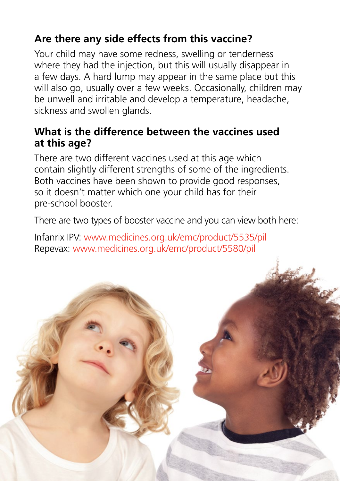### **Are there any side effects from this vaccine?**

Your child may have some redness, swelling or tenderness where they had the injection, but this will usually disappear in a few days. A hard lump may appear in the same place but this will also go, usually over a few weeks. Occasionally, children may be unwell and irritable and develop a temperature, headache, sickness and swollen glands.

### **What is the difference between the vaccines used at this age?**

There are two different vaccines used at this age which contain slightly different strengths of some of the ingredients. Both vaccines have been shown to provide good responses, so it doesn't matter which one your child has for their pre-school booster.

There are two types of booster vaccine and you can view both here:

Infanrix IPV: [www.medicines.org.uk/emc/product/5535/pil](http://www.medicines.org.uk/emc/product/5535/pil) Repevax: [www.medicines.org.uk/emc/product/5580/pil](http://www.medicines.org.uk/emc/product/5580/pil)

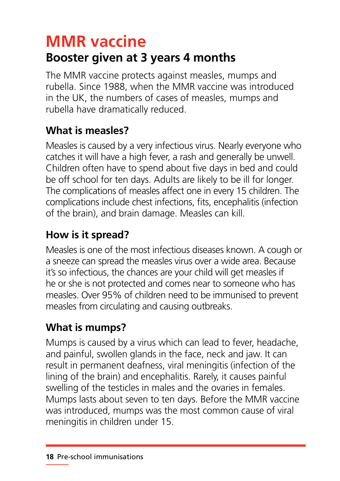# **MMR vaccine**

### **Booster given at 3 years 4 months**

The MMR vaccine protects against measles, mumps and rubella. Since 1988, when the MMR vaccine was introduced in the UK, the numbers of cases of measles, mumps and rubella have dramatically reduced.

### **What is measles?**

Measles is caused by a very infectious virus. Nearly everyone who catches it will have a high fever, a rash and generally be unwell. Children often have to spend about five days in bed and could be off school for ten days. Adults are likely to be ill for longer. The complications of measles affect one in every 15 children. The complications include chest infections, fits, encephalitis (infection of the brain), and brain damage. Measles can kill.

### **How is it spread?**

Measles is one of the most infectious diseases known. A cough or a sneeze can spread the measles virus over a wide area. Because it's so infectious, the chances are your child will get measles if he or she is not protected and comes near to someone who has measles. Over 95% of children need to be immunised to prevent measles from circulating and causing outbreaks.

### **What is mumps?**

Mumps is caused by a virus which can lead to fever, headache, and painful, swollen glands in the face, neck and jaw. It can result in permanent deafness, viral meningitis (infection of the lining of the brain) and encephalitis. Rarely, it causes painful swelling of the testicles in males and the ovaries in females. Mumps lasts about seven to ten days. Before the MMR vaccine was introduced, mumps was the most common cause of viral meningitis in children under 15.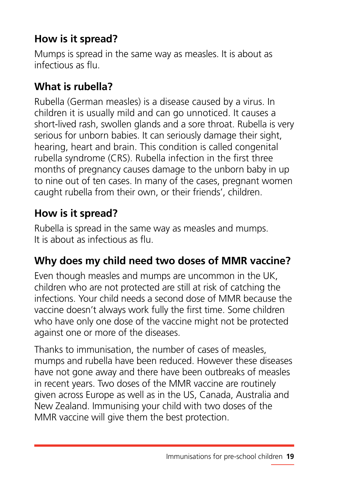### **How is it spread?**

Mumps is spread in the same way as measles. It is about as infectious as flu.

### **What is rubella?**

Rubella (German measles) is a disease caused by a virus. In children it is usually mild and can go unnoticed. It causes a short-lived rash, swollen glands and a sore throat. Rubella is very serious for unborn babies. It can seriously damage their sight, hearing, heart and brain. This condition is called congenital rubella syndrome (CRS). Rubella infection in the first three months of pregnancy causes damage to the unborn baby in up to nine out of ten cases. In many of the cases, pregnant women caught rubella from their own, or their friends', children.

### **How is it spread?**

Rubella is spread in the same way as measles and mumps. It is about as infectious as flu.

### **Why does my child need two doses of MMR vaccine?**

Even though measles and mumps are uncommon in the UK, children who are not protected are still at risk of catching the infections. Your child needs a second dose of MMR because the vaccine doesn't always work fully the first time. Some children who have only one dose of the vaccine might not be protected against one or more of the diseases.

Thanks to immunisation, the number of cases of measles, mumps and rubella have been reduced. However these diseases have not gone away and there have been outbreaks of measles in recent years. Two doses of the MMR vaccine are routinely given across Europe as well as in the US, Canada, Australia and New Zealand. Immunising your child with two doses of the MMR vaccine will give them the best protection.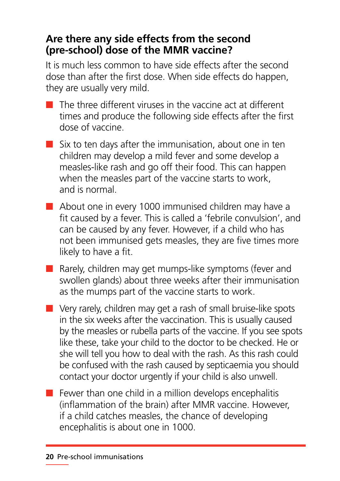### **Are there any side effects from the second (pre-school) dose of the MMR vaccine?**

It is much less common to have side effects after the second dose than after the first dose. When side effects do happen, they are usually very mild.

- $\blacksquare$  The three different viruses in the vaccine act at different times and produce the following side effects after the first dose of vaccine.
- $\blacksquare$  Six to ten days after the immunisation, about one in ten children may develop a mild fever and some develop a measles-like rash and go off their food. This can happen when the measles part of the vaccine starts to work, and is normal.
- About one in every 1000 immunised children may have a fit caused by a fever. This is called a 'febrile convulsion', and can be caused by any fever. However, if a child who has not been immunised gets measles, they are five times more likely to have a fit.
- Rarely, children may get mumps-like symptoms (fever and swollen glands) about three weeks after their immunisation as the mumps part of the vaccine starts to work.
- Very rarely, children may get a rash of small bruise-like spots in the six weeks after the vaccination. This is usually caused by the measles or rubella parts of the vaccine. If you see spots like these, take your child to the doctor to be checked. He or she will tell you how to deal with the rash. As this rash could be confused with the rash caused by septicaemia you should contact your doctor urgently if your child is also unwell.
- $\blacksquare$  Fewer than one child in a million develops encephalitis (inflammation of the brain) after MMR vaccine. However, if a child catches measles, the chance of developing encephalitis is about one in 1000.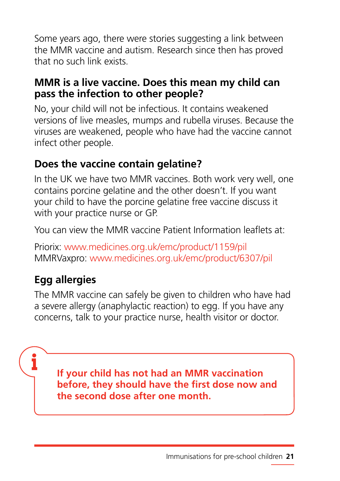Some years ago, there were stories suggesting a link between the MMR vaccine and autism. Research since then has proved that no such link exists.

### **MMR is a live vaccine. Does this mean my child can pass the infection to other people?**

No, your child will not be infectious. It contains weakened versions of live measles, mumps and rubella viruses. Because the viruses are weakened, people who have had the vaccine cannot infect other people.

### **Does the vaccine contain gelatine?**

In the UK we have two MMR vaccines. Both work very well, one contains porcine gelatine and the other doesn't. If you want your child to have the porcine gelatine free vaccine discuss it with your practice nurse or GP.

You can view the MMR vaccine Patient Information leaflets at:

Priorix: [www.medicines.org.uk/emc/product/1159/pil](http://www.medicines.org.uk/emc/product/1159/pil) MMRVaxpro: [www.medicines.org.uk/emc/product/6307/pil](http://www.medicines.org.uk/emc/product/6307/pil)

### **Egg allergies**

ĭ

The MMR vaccine can safely be given to children who have had a severe allergy (anaphylactic reaction) to egg. If you have any concerns, talk to your practice nurse, health visitor or doctor.

**If your child has not had an MMR vaccination before, they should have the first dose now and the second dose after one month.**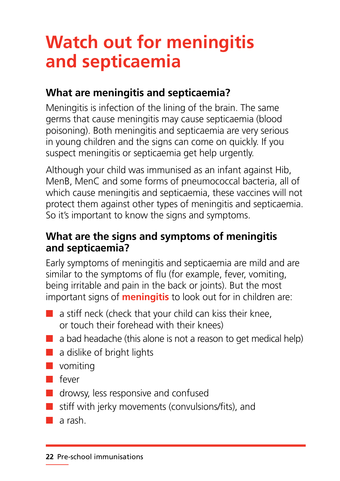## **Watch out for meningitis and septicaemia**

### **What are meningitis and septicaemia?**

Meningitis is infection of the lining of the brain. The same germs that cause meningitis may cause septicaemia (blood poisoning). Both meningitis and septicaemia are very serious in young children and the signs can come on quickly. If you suspect meningitis or septicaemia get help urgently.

Although your child was immunised as an infant against Hib, MenB, MenC and some forms of pneumococcal bacteria, all of which cause meningitis and septicaemia, these vaccines will not protect them against other types of meningitis and septicaemia. So it's important to know the signs and symptoms.

### **What are the signs and symptoms of meningitis and septicaemia?**

Early symptoms of meningitis and septicaemia are mild and are similar to the symptoms of flu (for example, fever, vomiting, being irritable and pain in the back or joints). But the most important signs of **meningitis** to look out for in children are:

- $\blacksquare$  a stiff neck (check that your child can kiss their knee, or touch their forehead with their knees)
- $\blacksquare$  a bad headache (this alone is not a reason to get medical help)
- a dislike of bright lights
- vomiting
- fever
- drowsy, less responsive and confused
- stiff with jerky movements (convulsions/fits), and
- a rash.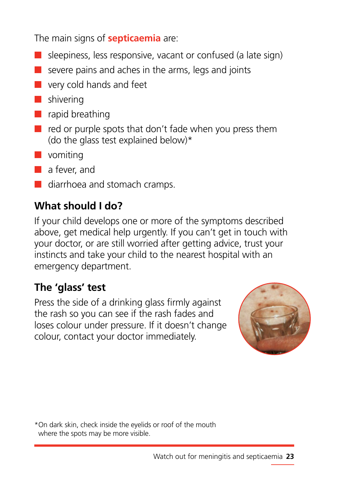The main signs of **septicaemia** are:

- $\blacksquare$  sleepiness, less responsive, vacant or confused (a late sign)
- $\blacksquare$  severe pains and aches in the arms, legs and joints
- very cold hands and feet
- shivering
- rapid breathing
- red or purple spots that don't fade when you press them (do the glass test explained below)\*
- vomiting
- a fever, and
- diarrhoea and stomach cramps.

### **What should I do?**

If your child develops one or more of the symptoms described above, get medical help urgently. If you can't get in touch with your doctor, or are still worried after getting advice, trust your instincts and take your child to the nearest hospital with an emergency department.

### **The 'glass' test**

Press the side of a drinking glass firmly against the rash so you can see if the rash fades and loses colour under pressure. If it doesn't change colour, contact your doctor immediately.



\*On dark skin, check inside the eyelids or roof of the mouth where the spots may be more visible.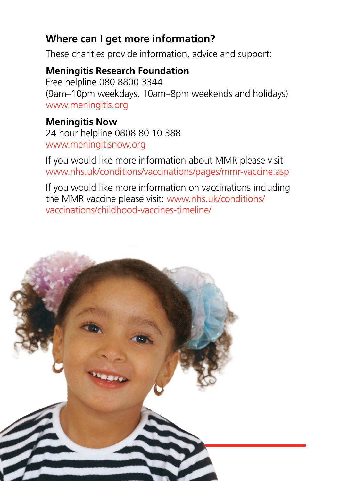### **Where can I get more information?**

These charities provide information, advice and support:

### **Meningitis Research Foundation**

Free helpline 080 8800 3344 (9am–10pm weekdays, 10am–8pm weekends and holidays) www.meningitis.org

### **Meningitis Now**

24 hour helpline 0808 80 10 388 www.meningitisnow.org

If you would like more information about MMR please visit www.nhs.uk/conditions/vaccinations/pages/mmr-vaccine.asp

If you would like more information on vaccinations including the MMR vaccine please visit: [www.nhs.uk/conditions/](http://www.nhs.uk/conditions/vaccinations/childhood-vaccines-timeline/) [vaccinations/childhood-vaccines-timeline/](http://www.nhs.uk/conditions/vaccinations/childhood-vaccines-timeline/)

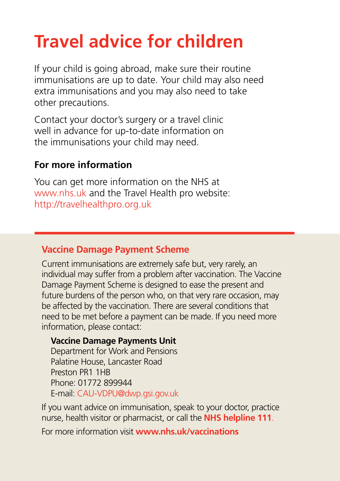# **Travel advice for children**

If your child is going abroad, make sure their routine immunisations are up to date. Your child may also need extra immunisations and you may also need to take other precautions.

Contact your doctor's surgery or a travel clinic well in advance for up-to-date information on the immunisations your child may need.

### **For more information**

You can get more information on the NHS at www.nhs.uk and the Travel Health pro website: <http://travelhealthpro.org.uk>

### **Vaccine Damage Payment Scheme**

Current immunisations are extremely safe but, very rarely, an individual may suffer from a problem after vaccination. The Vaccine Damage Payment Scheme is designed to ease the present and future burdens of the person who, on that very rare occasion, may be affected by the vaccination. There are several conditions that need to be met before a payment can be made. If you need more information, please contact:

### **Vaccine Damage Payments Unit**

Department for Work and Pensions Palatine House, Lancaster Road Preston PR1 1HB Phone: 01772 899944 E-mail: CAU-VDPU@dwp.gsi.gov.uk

If you want advice on immunisation, speak to your doctor, practice nurse, health visitor or pharmacist, or call the **NHS helpline 111**.

For more information visit **www.nhs.uk/vaccinations**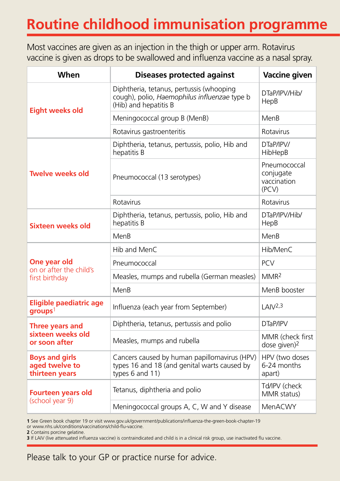### **Routine childhood immunisation programme**

Most vaccines are given as an injection in the thigh or upper arm. Rotavirus vaccine is given as drops to be swallowed and influenza vaccine as a nasal spray.

| When                                                                  | <b>Diseases protected against</b>                                                                                 | <b>Vaccine given</b>                              |
|-----------------------------------------------------------------------|-------------------------------------------------------------------------------------------------------------------|---------------------------------------------------|
| <b>Eight weeks old</b>                                                | Diphtheria, tetanus, pertussis (whooping<br>cough), polio, Haemophilus influenzae type b<br>(Hib) and hepatitis B | DTaP/IPV/Hib/<br>HepB                             |
|                                                                       | Meningococcal group B (MenB)                                                                                      | MenB                                              |
|                                                                       | Rotavirus gastroenteritis                                                                                         | Rotavirus                                         |
| <b>Twelve weeks old</b>                                               | Diphtheria, tetanus, pertussis, polio, Hib and<br>hepatitis B                                                     | DTaP/IPV/<br>HibHepB                              |
|                                                                       | Pneumococcal (13 serotypes)                                                                                       | Pneumococcal<br>conjugate<br>vaccination<br>(PCV) |
|                                                                       | Rotavirus                                                                                                         | Rotavirus                                         |
| Sixteen weeks old                                                     | Diphtheria, tetanus, pertussis, polio, Hib and<br>hepatitis B                                                     | DTaP/IPV/Hib/<br>HepB                             |
|                                                                       | MenB                                                                                                              | MenB                                              |
| One year old                                                          | Hib and MenC                                                                                                      | Hib/MenC                                          |
|                                                                       | Pneumococcal                                                                                                      | <b>PCV</b>                                        |
| on or after the child's<br>first birthday                             | Measles, mumps and rubella (German measles)                                                                       | MMR <sup>2</sup>                                  |
|                                                                       | MenB                                                                                                              | MenB booster                                      |
| <b>Eligible paediatric age</b><br>$\boldsymbol{g}$ roups <sup>1</sup> | Influenza (each year from September)                                                                              | LAIV <sup>2,3</sup>                               |
| Three years and<br>sixteen weeks old<br>or soon after                 | Diphtheria, tetanus, pertussis and polio                                                                          | DTaP/IPV                                          |
|                                                                       | Measles, mumps and rubella                                                                                        | MMR (check first<br>dose given) <sup>2</sup>      |
| <b>Boys and girls</b><br>aged twelve to<br>thirteen years             | Cancers caused by human papillomavirus (HPV)<br>types 16 and 18 (and genital warts caused by<br>types 6 and 11)   | HPV (two doses<br>6-24 months<br>apart)           |
| <b>Fourteen years old</b><br>(school year 9)                          | Tetanus, diphtheria and polio                                                                                     | Td/IPV (check<br>MMR status)                      |
|                                                                       | Meningococcal groups A, C, W and Y disease                                                                        | MenACWY                                           |

**1** See Green book chapter 19 or visit [www.gov.uk/government/publications/influenza-the-green-book-chapter-19](http://www.gov.uk/government/publications/influenza-the-green-book-chapter-19) or [www.nhs.uk/conditions/vaccinations/child-flu-vaccine](http://www.nhs.uk/conditions/vaccinations/child-flu-vaccine).

**2** Contains porcine gelatine.

**3** If LAIV (live attenuated influenza vaccine) is contraindicated and child is in a clinical risk group, use inactivated flu vaccine.

Please talk to your GP or practice nurse for advice.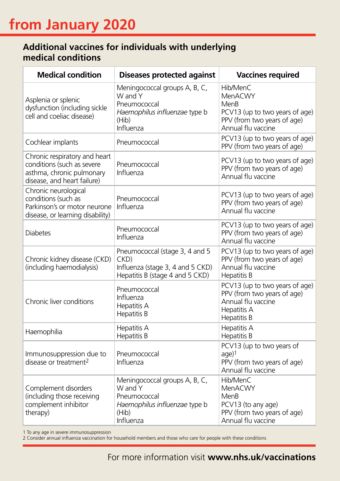#### **Additional vaccines for individuals with underlying medical conditions**

| <b>Medical condition</b>                                                                                                | <b>Diseases protected against</b>                                                                               | <b>Vaccines required</b>                                                                                           |
|-------------------------------------------------------------------------------------------------------------------------|-----------------------------------------------------------------------------------------------------------------|--------------------------------------------------------------------------------------------------------------------|
| Asplenia or splenic<br>dysfunction (including sickle<br>cell and coeliac disease)                                       | Meningococcal groups A, B, C,<br>W and Y<br>Pneumococcal<br>Haemophilus influenzae type b<br>(Hib)<br>Influenza | Hib/MenC<br>MenACWY<br>MenB<br>PCV13 (up to two years of age)<br>PPV (from two years of age)<br>Annual flu vaccine |
| Cochlear implants                                                                                                       | Pneumococcal                                                                                                    | PCV13 (up to two years of age)<br>PPV (from two years of age)                                                      |
| Chronic respiratory and heart<br>conditions (such as severe<br>asthma, chronic pulmonary<br>disease, and heart failure) | Pneumococcal<br>Influenza                                                                                       | PCV13 (up to two years of age)<br>PPV (from two years of age)<br>Annual flu vaccine                                |
| Chronic neurological<br>conditions (such as<br>Parkinson's or motor neurone<br>disease, or learning disability)         | Pneumococcal<br>Influenza                                                                                       | PCV13 (up to two years of age)<br>PPV (from two years of age)<br>Annual flu vaccine                                |
| <b>Diabetes</b>                                                                                                         | Pneumococcal<br>Influenza                                                                                       | PCV13 (up to two years of age)<br>PPV (from two years of age)<br>Annual flu vaccine                                |
| Chronic kidney disease (CKD)<br>(including haemodialysis)                                                               | Pneumococcal (stage 3, 4 and 5<br>CKD)<br>Influenza (stage 3, 4 and 5 CKD)<br>Hepatitis B (stage 4 and 5 CKD)   | PCV13 (up to two years of age)<br>PPV (from two years of age)<br>Annual flu vaccine<br>Hepatitis B                 |
| Chronic liver conditions                                                                                                | Pneumococcal<br>Influenza<br>Hepatitis A<br>Hepatitis B                                                         | PCV13 (up to two years of age)<br>PPV (from two years of age)<br>Annual flu vaccine<br>Hepatitis A<br>Hepatitis B  |
| Haemophilia                                                                                                             | Hepatitis A<br><b>Hepatitis B</b>                                                                               | Hepatitis A<br>Hepatitis B                                                                                         |
| Immunosuppression due to<br>disease or treatment <sup>2</sup>                                                           | Pneumococcal<br>Influenza                                                                                       | PCV13 (up to two years of<br>age)1<br>PPV (from two years of age)<br>Annual flu vaccine                            |
| Complement disorders<br>(including those receiving<br>complement inhibitor<br>therapy)                                  | Meningococcal groups A, B, C,<br>W and Y<br>Pneumococcal<br>Haemophilus influenzae type b<br>(Hib)<br>Influenza | Hib/MenC<br>MenACWY<br>MenB<br>PCV13 (to any age)<br>PPV (from two years of age)<br>Annual flu vaccine             |

1 To any age in severe immunosuppression

2 Consider annual influenza vaccination for household members and those who care for people with these conditions

For more information visit **www.nhs.uk/vaccinations 27**